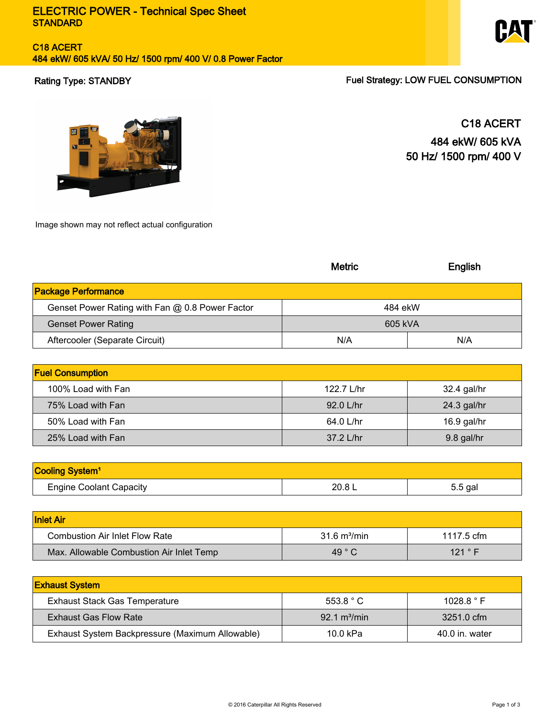# C18 ACERT 484 ekW/ 605 kVA/ 50 Hz/ 1500 rpm/ 400 V/ 0.8 Power Factor



Rating Type: STANDBY **Fuel Strategy: LOW FUEL CONSUMPTION** 



C18 ACERT 484 ekW/ 605 kVA 50 Hz/ 1500 rpm/ 400 V

Image shown may not reflect actual configuration

|                                                 | <b>Metric</b>                 | English     |
|-------------------------------------------------|-------------------------------|-------------|
| <b>Package Performance</b>                      |                               |             |
| Genset Power Rating with Fan @ 0.8 Power Factor | 484 ekW                       |             |
| <b>Genset Power Rating</b>                      | 605 kVA                       |             |
| Aftercooler (Separate Circuit)                  | N/A                           | N/A         |
|                                                 |                               |             |
| <b>Fuel Consumption</b>                         |                               |             |
| 100% Load with Fan                              | 122.7 L/hr                    | 32.4 gal/hr |
| 75% Load with Fan                               | 92.0 L/hr                     | 24.3 gal/hr |
| 50% Load with Fan                               | 64.0 L/hr                     | 16.9 gal/hr |
| 25% Load with Fan                               | 37.2 L/hr                     | 9.8 gal/hr  |
|                                                 |                               |             |
| Cooling System <sup>1</sup>                     |                               |             |
| <b>Engine Coolant Capacity</b>                  | 20.8 L                        | 5.5 gal     |
|                                                 |                               |             |
| <b>Inlet Air</b>                                |                               |             |
| <b>Combustion Air Inlet Flow Rate</b>           | 31.6 m <sup>3</sup> /min      | 1117.5 cfm  |
| Max. Allowable Combustion Air Inlet Temp        | 49 °C                         | 121 ° F     |
|                                                 |                               |             |
| <b>Exhaust System</b>                           |                               |             |
| <b>Exhaust Stack Gas Temperature</b>            | 553.8 °C                      | 1028.8 °F   |
| <b>Exhaust Gas Flow Rate</b>                    | $92.1 \text{ m}^3/\text{min}$ | 3251.0 cfm  |

Exhaust System Backpressure (Maximum Allowable) 10.0 kPa 40.0 in. water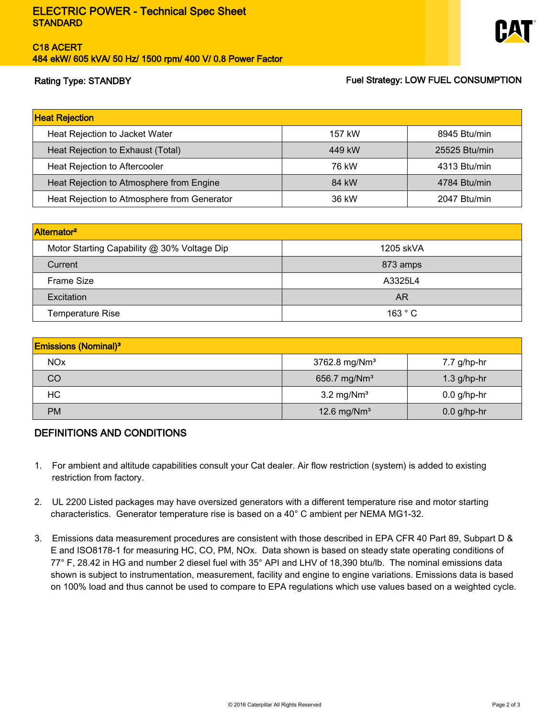# C18 ACERT 484 ekW/ 605 kVA/ 50 Hz/ 1500 rpm/ 400 V/ 0.8 Power Factor



# Rating Type: STANDBY **Fuel Strategy: LOW FUEL CONSUMPTION**

| <b>Heat Rejection</b>                       |        |               |
|---------------------------------------------|--------|---------------|
| Heat Rejection to Jacket Water              | 157 kW | 8945 Btu/min  |
| Heat Rejection to Exhaust (Total)           | 449 kW | 25525 Btu/min |
| Heat Rejection to Aftercooler               | 76 kW  | 4313 Btu/min  |
| Heat Rejection to Atmosphere from Engine    | 84 kW  | 4784 Btu/min  |
| Heat Rejection to Atmosphere from Generator | 36 kW  | 2047 Btu/min  |

| Alternator <sup>2</sup>                     |           |  |  |
|---------------------------------------------|-----------|--|--|
| Motor Starting Capability @ 30% Voltage Dip | 1205 skVA |  |  |
| Current                                     | 873 amps  |  |  |
| Frame Size                                  | A3325L4   |  |  |
| Excitation                                  | AR        |  |  |
| Temperature Rise                            | 163 °C    |  |  |

| <b>Emissions (Nominal)</b> <sup>3</sup> |                              |               |  |
|-----------------------------------------|------------------------------|---------------|--|
| <b>NOx</b>                              | 3762.8 mg/Nm <sup>3</sup>    | $7.7$ g/hp-hr |  |
| CO                                      | 656.7 mg/Nm <sup>3</sup>     | $1.3$ g/hp-hr |  |
| HC                                      | $3.2 \text{ mg}/\text{Nm}^3$ | $0.0$ g/hp-hr |  |
| <b>PM</b>                               | 12.6 mg/ $Nm3$               | $0.0$ g/hp-hr |  |

# DEFINITIONS AND CONDITIONS

- 1. For ambient and altitude capabilities consult your Cat dealer. Air flow restriction (system) is added to existing restriction from factory.
- 2. UL 2200 Listed packages may have oversized generators with a different temperature rise and motor starting characteristics. Generator temperature rise is based on a 40° C ambient per NEMA MG1-32.
- 3. Emissions data measurement procedures are consistent with those described in EPA CFR 40 Part 89, Subpart D & E and ISO8178-1 for measuring HC, CO, PM, NOx. Data shown is based on steady state operating conditions of 77° F, 28.42 in HG and number 2 diesel fuel with 35° API and LHV of 18,390 btu/lb. The nominal emissions data shown is subject to instrumentation, measurement, facility and engine to engine variations. Emissions data is based on 100% load and thus cannot be used to compare to EPA regulations which use values based on a weighted cycle.